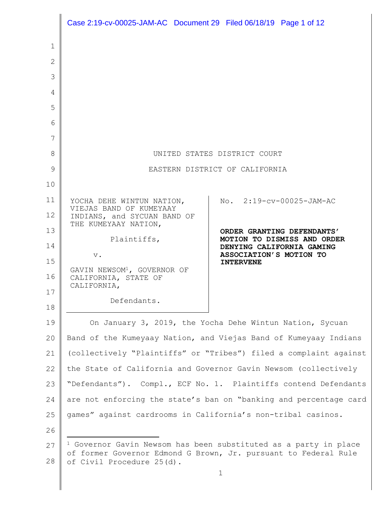|                | Case 2:19-cv-00025-JAM-AC Document 29 Filed 06/18/19 Page 1 of 12                            |                                                                    |
|----------------|----------------------------------------------------------------------------------------------|--------------------------------------------------------------------|
| 1              |                                                                                              |                                                                    |
| $\overline{2}$ |                                                                                              |                                                                    |
| 3              |                                                                                              |                                                                    |
| 4              |                                                                                              |                                                                    |
| 5              |                                                                                              |                                                                    |
| 6              |                                                                                              |                                                                    |
| 7              |                                                                                              |                                                                    |
| 8              |                                                                                              | UNITED STATES DISTRICT COURT                                       |
| 9              | EASTERN DISTRICT OF CALIFORNIA                                                               |                                                                    |
| 10             |                                                                                              |                                                                    |
| 11             | YOCHA DEHE WINTUN NATION,                                                                    | No. 2:19-cv-00025-JAM-AC                                           |
| 12             | VIEJAS BAND OF KUMEYAAY<br>INDIANS, and SYCUAN BAND OF                                       |                                                                    |
| 13             | THE KUMEYAAY NATION,                                                                         | ORDER GRANTING DEFENDANTS'                                         |
| 14             | Plaintiffs,                                                                                  | MOTION TO DISMISS AND ORDER<br>DENYING CALIFORNIA GAMING           |
| 15             | $\,$ v $\,$                                                                                  | ASSOCIATION'S MOTION TO<br><b>INTERVENE</b>                        |
| 16             | GAVIN NEWSOM <sup>1</sup> , GOVERNOR OF<br>CALIFORNIA, STATE OF                              |                                                                    |
| 17             | CALIFORNIA,                                                                                  |                                                                    |
| 18             | Defendants.                                                                                  |                                                                    |
| 19             |                                                                                              | On January 3, 2019, the Yocha Dehe Wintun Nation, Sycuan           |
| 20             | Band of the Kumeyaay Nation, and Viejas Band of Kumeyaay Indians                             |                                                                    |
| 21             |                                                                                              | (collectively "Plaintiffs" or "Tribes") filed a complaint against  |
| 22             |                                                                                              | the State of California and Governor Gavin Newsom (collectively    |
| 23             | "Defendants"). Compl., ECF No. 1. Plaintiffs contend Defendants                              |                                                                    |
| 24             |                                                                                              | are not enforcing the state's ban on "banking and percentage card  |
| 25             | games" against cardrooms in California's non-tribal casinos.                                 |                                                                    |
| 26             |                                                                                              |                                                                    |
| 27             |                                                                                              | $1$ Governor Gavin Newsom has been substituted as a party in place |
| 28             | of former Governor Edmond G Brown, Jr. pursuant to Federal Rule<br>of Civil Procedure 25(d). |                                                                    |

1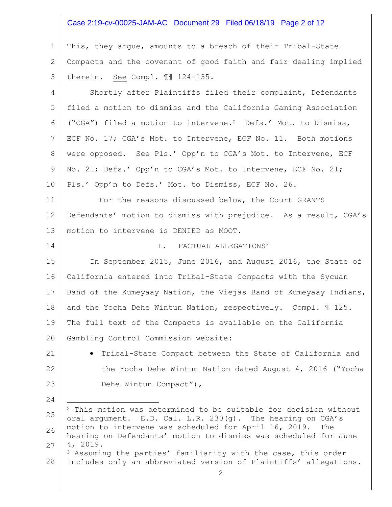## Case 2:19-cv-00025-JAM-AC Document 29 Filed 06/18/19 Page 2 of 12

1 2 3 This, they argue, amounts to a breach of their Tribal-State Compacts and the covenant of good faith and fair dealing implied therein. See Compl. ¶¶ 124-135.

4 5 6 7 8 9 10 Shortly after Plaintiffs filed their complaint, Defendants filed a motion to dismiss and the California Gaming Association ("CGA") filed a motion to intervene.<sup>2</sup> Defs.' Mot. to Dismiss, ECF No. 17; CGA's Mot. to Intervene, ECF No. 11. Both motions were opposed. See Pls.' Opp'n to CGA's Mot. to Intervene, ECF No. 21; Defs.' Opp'n to CGA's Mot. to Intervene, ECF No. 21; Pls.' Opp'n to Defs.' Mot. to Dismiss, ECF No. 26.

11 12 13 For the reasons discussed below, the Court GRANTS Defendants' motion to dismiss with prejudice. As a result, CGA's motion to intervene is DENIED as MOOT.

14

#### I. FACTUAL ALLEGATIONS<sup>3</sup>

15 16 17 18 19 20 In September 2015, June 2016, and August 2016, the State of California entered into Tribal-State Compacts with the Sycuan Band of the Kumeyaay Nation, the Viejas Band of Kumeyaay Indians, and the Yocha Dehe Wintun Nation, respectively. Compl. ¶ 125. The full text of the Compacts is available on the California Gambling Control Commission website:

21 22

23

24

a<br>B

• Tribal-State Compact between the State of California and the Yocha Dehe Wintun Nation dated August 4, 2016 ("Yocha Dehe Wintun Compact"),

28 <sup>3</sup> Assuming the parties' familiarity with the case, this order includes only an abbreviated version of Plaintiffs' allegations.

<sup>25</sup> 26 27  $2$  This motion was determined to be suitable for decision without oral argument. E.D. Cal. L.R. 230(g). The hearing on CGA's motion to intervene was scheduled for April 16, 2019. The hearing on Defendants' motion to dismiss was scheduled for June 4, 2019.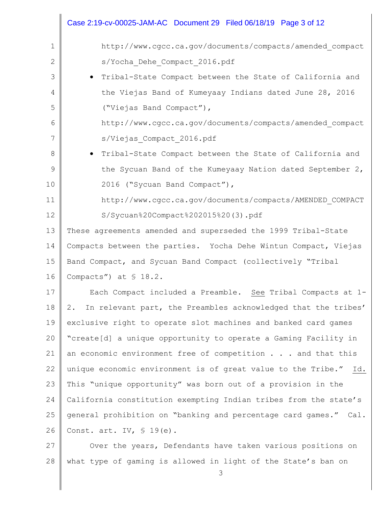|              | Case 2:19-cv-00025-JAM-AC Document 29 Filed 06/18/19 Page 3 of 12     |  |
|--------------|-----------------------------------------------------------------------|--|
| $\mathbf{1}$ | http://www.cgcc.ca.gov/documents/compacts/amended compact             |  |
| 2            | s/Yocha Dehe Compact 2016.pdf                                         |  |
| 3            | Tribal-State Compact between the State of California and<br>$\bullet$ |  |
| 4            | the Viejas Band of Kumeyaay Indians dated June 28, 2016               |  |
| 5            | ("Viejas Band Compact"),                                              |  |
| 6            | http://www.cgcc.ca.gov/documents/compacts/amended compact             |  |
| 7            | s/Viejas Compact 2016.pdf                                             |  |
| 8            | Tribal-State Compact between the State of California and<br>$\bullet$ |  |
| 9            | the Sycuan Band of the Kumeyaay Nation dated September 2,             |  |
| 10           | 2016 ("Sycuan Band Compact"),                                         |  |
| 11           | http://www.cgcc.ca.gov/documents/compacts/AMENDED COMPACT             |  |
| 12           | S/Sycuan%20Compact%202015%20(3).pdf                                   |  |
| 13           | These agreements amended and superseded the 1999 Tribal-State         |  |
| 14           | Compacts between the parties. Yocha Dehe Wintun Compact, Viejas       |  |
| 15           | Band Compact, and Sycuan Band Compact (collectively "Tribal           |  |
| 16           | Compacts") at $$18.2.$                                                |  |
| 17           | Each Compact included a Preamble. See Tribal Compacts at 1-           |  |
| 18           | In relevant part, the Preambles acknowledged that the tribes'<br>2.   |  |
| 19           | exclusive right to operate slot machines and banked card games        |  |
| 20           | "create[d] a unique opportunity to operate a Gaming Facility in       |  |
| 21           | an economic environment free of competition and that this             |  |
| 22           | unique economic environment is of great value to the Tribe." Id.      |  |
| 23           | This "unique opportunity" was born out of a provision in the          |  |
| 24           | California constitution exempting Indian tribes from the state's      |  |
| 25           | general prohibition on "banking and percentage card games." Cal.      |  |
| 26           | Const. art. IV, $\$$ 19(e).                                           |  |
| 27           | Over the years, Defendants have taken various positions on            |  |
| 28           | what type of gaming is allowed in light of the State's ban on         |  |

3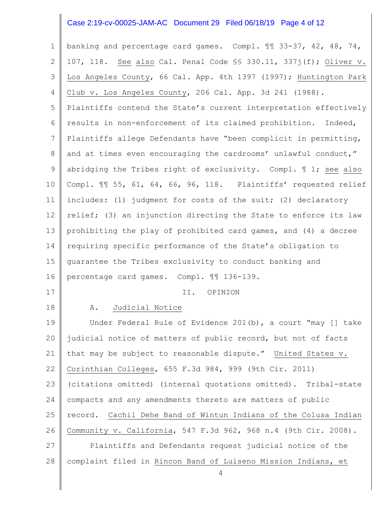### Case 2:19-cv-00025-JAM-AC Document 29 Filed 06/18/19 Page 4 of 12

1 2 3 4 5 6 7 8 9 10 11 12 13 14 15 16 17 18 19 20 21 22 23 24 25 26 27 28 banking and percentage card games. Compl. ¶¶ 33-37, 42, 48, 74, 107, 118. See also Cal. Penal Code §§ 330.11, 337j(f); Oliver v. Los Angeles County, 66 Cal. App. 4th 1397 (1997); Huntington Park Club v. Los Angeles County, 206 Cal. App. 3d 241 (1988). Plaintiffs contend the State's current interpretation effectively results in non-enforcement of its claimed prohibition. Indeed, Plaintiffs allege Defendants have "been complicit in permitting, and at times even encouraging the cardrooms' unlawful conduct," abridging the Tribes right of exclusivity. Compl.  $\mathbb I$  1; see also Compl. ¶¶ 55, 61, 64, 66, 96, 118. Plaintiffs' requested relief includes: (1) judgment for costs of the suit; (2) declaratory relief; (3) an injunction directing the State to enforce its law prohibiting the play of prohibited card games, and (4) a decree requiring specific performance of the State's obligation to guarantee the Tribes exclusivity to conduct banking and percentage card games. Compl. ¶¶ 136-139. II. OPINION A. Judicial Notice Under Federal Rule of Evidence 201(b), a court "may [] take judicial notice of matters of public record, but not of facts that may be subject to reasonable dispute." United States v. Corinthian Colleges, 655 F.3d 984, 999 (9th Cir. 2011) (citations omitted) (internal quotations omitted). Tribal-state compacts and any amendments thereto are matters of public record. Cachil Dehe Band of Wintun Indians of the Colusa Indian Community v. California, 547 F.3d 962, 968 n.4 (9th Cir. 2008). Plaintiffs and Defendants request judicial notice of the complaint filed in Rincon Band of Luiseno Mission Indians, et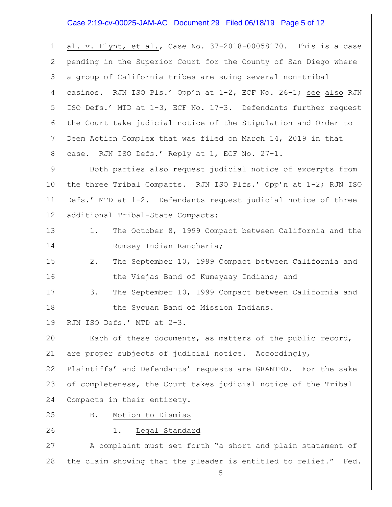#### Case 2:19-cv-00025-JAM-AC Document 29 Filed 06/18/19 Page 5 of 12

1 2 3 4 5 6 7 8 al. v. Flynt, et al., Case No. 37-2018-00058170. This is a case pending in the Superior Court for the County of San Diego where a group of California tribes are suing several non-tribal casinos. RJN ISO Pls.' Opp'n at 1-2, ECF No. 26-1; see also RJN ISO Defs.' MTD at 1-3, ECF No. 17-3. Defendants further request the Court take judicial notice of the Stipulation and Order to Deem Action Complex that was filed on March 14, 2019 in that case. RJN ISO Defs.' Reply at 1, ECF No. 27-1.

9 10 11 12 Both parties also request judicial notice of excerpts from the three Tribal Compacts. RJN ISO Plfs.' Opp'n at 1-2; RJN ISO Defs.' MTD at 1-2. Defendants request judicial notice of three additional Tribal-State Compacts:

13 14 1. The October 8, 1999 Compact between California and the Rumsey Indian Rancheria;

15 16 2. The September 10, 1999 Compact between California and the Viejas Band of Kumeyaay Indians; and

- 17 18 3. The September 10, 1999 Compact between California and the Sycuan Band of Mission Indians.
- 19 RJN ISO Defs.' MTD at 2-3.

20 21 22 Each of these documents, as matters of the public record, are proper subjects of judicial notice. Accordingly, Plaintiffs' and Defendants' requests are GRANTED. For the sake

23 24 of completeness, the Court takes judicial notice of the Tribal Compacts in their entirety.

25 26 B. Motion to Dismiss

#### 1. Legal Standard

27 28 A complaint must set forth "a short and plain statement of the claim showing that the pleader is entitled to relief." Fed.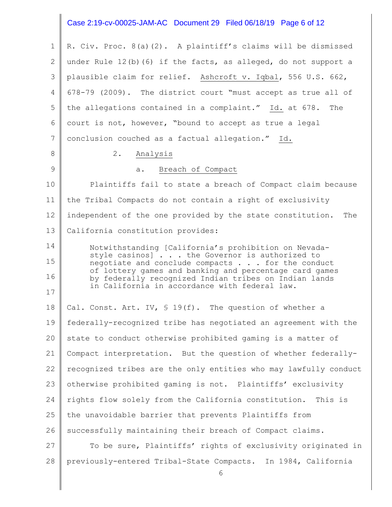#### Case 2:19-cv-00025-JAM-AC Document 29 Filed 06/18/19 Page 6 of 12

1 2 3 4 5 6 7 8 9 10 11 12 13 14 15 16 17 18 19 20 21 22 23 24 25 26 27 28 R. Civ. Proc. 8(a)(2). A plaintiff's claims will be dismissed under Rule 12(b)(6) if the facts, as alleged, do not support a plausible claim for relief. Ashcroft v. Iqbal, 556 U.S. 662, 678-79 (2009). The district court "must accept as true all of the allegations contained in a complaint." Id. at 678. The court is not, however, "bound to accept as true a legal conclusion couched as a factual allegation." Id. 2. Analysis a. Breach of Compact Plaintiffs fail to state a breach of Compact claim because the Tribal Compacts do not contain a right of exclusivity independent of the one provided by the state constitution. The California constitution provides: Notwithstanding [California's prohibition on Nevadastyle casinos] . . . the Governor is authorized to negotiate and conclude compacts . . . for the conduct of lottery games and banking and percentage card games by federally recognized Indian tribes on Indian lands in California in accordance with federal law. Cal. Const. Art. IV,  $S$  19(f). The question of whether a federally-recognized tribe has negotiated an agreement with the state to conduct otherwise prohibited gaming is a matter of Compact interpretation. But the question of whether federallyrecognized tribes are the only entities who may lawfully conduct otherwise prohibited gaming is not. Plaintiffs' exclusivity rights flow solely from the California constitution. This is the unavoidable barrier that prevents Plaintiffs from successfully maintaining their breach of Compact claims. To be sure, Plaintiffs' rights of exclusivity originated in previously-entered Tribal-State Compacts. In 1984, California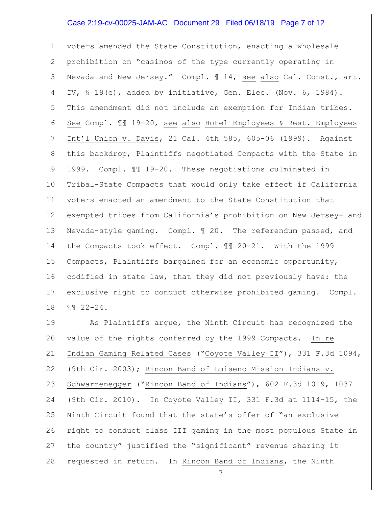## Case 2:19-cv-00025-JAM-AC Document 29 Filed 06/18/19 Page 7 of 12

1 2 3 4 5 6 7 8 9 10 11 12 13 14 15 16 17 18 voters amended the State Constitution, enacting a wholesale prohibition on "casinos of the type currently operating in Nevada and New Jersey." Compl. ¶ 14, see also Cal. Const., art. IV, § 19(e), added by initiative, Gen. Elec. (Nov. 6, 1984). This amendment did not include an exemption for Indian tribes. See Compl. ¶¶ 19-20, see also Hotel Employees & Rest. Employees Int'l Union v. Davis, 21 Cal. 4th 585, 605-06 (1999). Against this backdrop, Plaintiffs negotiated Compacts with the State in 1999. Compl. ¶¶ 19-20. These negotiations culminated in Tribal-State Compacts that would only take effect if California voters enacted an amendment to the State Constitution that exempted tribes from California's prohibition on New Jersey- and Nevada-style gaming. Compl. ¶ 20. The referendum passed, and the Compacts took effect. Compl. ¶¶ 20-21. With the 1999 Compacts, Plaintiffs bargained for an economic opportunity, codified in state law, that they did not previously have: the exclusive right to conduct otherwise prohibited gaming. Compl. ¶¶ 22-24.

19 20 21 22 23 24 25 26 27 28 As Plaintiffs argue, the Ninth Circuit has recognized the value of the rights conferred by the 1999 Compacts. In re Indian Gaming Related Cases ("Coyote Valley II"), 331 F.3d 1094, (9th Cir. 2003); Rincon Band of Luiseno Mission Indians v. Schwarzenegger ("Rincon Band of Indians"), 602 F.3d 1019, 1037 (9th Cir. 2010). In Coyote Valley II, 331 F.3d at 1114-15, the Ninth Circuit found that the state's offer of "an exclusive right to conduct class III gaming in the most populous State in the country" justified the "significant" revenue sharing it requested in return. In Rincon Band of Indians, the Ninth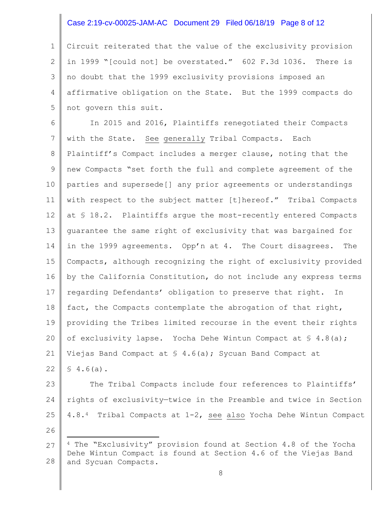### Case 2:19-cv-00025-JAM-AC Document 29 Filed 06/18/19 Page 8 of 12

1 2 3 4 5 Circuit reiterated that the value of the exclusivity provision in 1999 "[could not] be overstated." 602 F.3d 1036. There is no doubt that the 1999 exclusivity provisions imposed an affirmative obligation on the State. But the 1999 compacts do not govern this suit.

6 7 8 9 10 11 12 13 14 15 16 17 18 19 20 21 22 In 2015 and 2016, Plaintiffs renegotiated their Compacts with the State. See generally Tribal Compacts. Each Plaintiff's Compact includes a merger clause, noting that the new Compacts "set forth the full and complete agreement of the parties and supersede[] any prior agreements or understandings with respect to the subject matter [t]hereof." Tribal Compacts at § 18.2. Plaintiffs argue the most-recently entered Compacts guarantee the same right of exclusivity that was bargained for in the 1999 agreements. Opp'n at 4. The Court disagrees. The Compacts, although recognizing the right of exclusivity provided by the California Constitution, do not include any express terms regarding Defendants' obligation to preserve that right. In fact, the Compacts contemplate the abrogation of that right, providing the Tribes limited recourse in the event their rights of exclusivity lapse. Yocha Dehe Wintun Compact at  $\{S_4.8(a)\}$ ; Viejas Band Compact at  $\frac{1}{2}$  4.6(a); Sycuan Band Compact at  $$4.6(a).$ 

23 24 25 26 The Tribal Compacts include four references to Plaintiffs' rights of exclusivity—twice in the Preamble and twice in Section 4.8.4 Tribal Compacts at 1-2, see also Yocha Dehe Wintun Compact

L,

<sup>27</sup> 28 <sup>4</sup> The "Exclusivity" provision found at Section 4.8 of the Yocha Dehe Wintun Compact is found at Section 4.6 of the Viejas Band and Sycuan Compacts.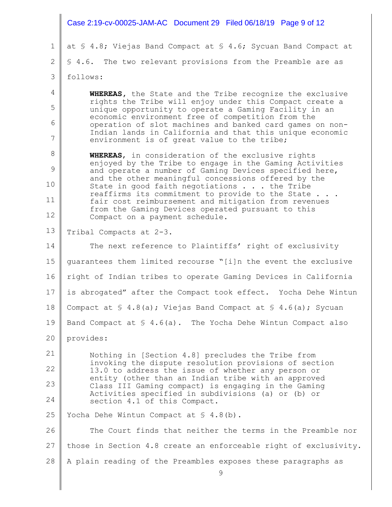|                | Case 2:19-cv-00025-JAM-AC Document 29 Filed 06/18/19 Page 9 of 12                                                 |
|----------------|-------------------------------------------------------------------------------------------------------------------|
| 1              | at § 4.8; Viejas Band Compact at § 4.6; Sycuan Band Compact at                                                    |
| $\overline{2}$ | \$ 4.6. The two relevant provisions from the Preamble are as                                                      |
| 3              | follows:                                                                                                          |
| 4              | WHEREAS, the State and the Tribe recognize the exclusive                                                          |
| 5              | rights the Tribe will enjoy under this Compact create a<br>unique opportunity to operate a Gaming Facility in an  |
| 6              | economic environment free of competition from the<br>operation of slot machines and banked card games on non-     |
| 7              | Indian lands in California and that this unique economic<br>environment is of great value to the tribe;           |
| 8              | WHEREAS, in consideration of the exclusive rights                                                                 |
| 9              | enjoyed by the Tribe to engage in the Gaming Activities<br>and operate a number of Gaming Devices specified here, |
| 10             | and the other meaningful concessions offered by the<br>State in good faith negotiations the Tribe                 |
| 11             | reaffirms its commitment to provide to the State<br>fair cost reimbursement and mitigation from revenues          |
| 12             | from the Gaming Devices operated pursuant to this<br>Compact on a payment schedule.                               |
| 13             | Tribal Compacts at 2-3.                                                                                           |
| 14             | The next reference to Plaintiffs' right of exclusivity                                                            |
| 15             | quarantees them limited recourse "[i]n the event the exclusive                                                    |
| 16             | right of Indian tribes to operate Gaming Devices in California                                                    |
| 17             | is abrogated" after the Compact took effect. Yocha Dehe Wintun                                                    |
| 18             | Compact at $\frac{1}{5}$ 4.8(a); Viejas Band Compact at $\frac{1}{5}$ 4.6(a); Sycuan                              |
| 19             | Band Compact at $\frac{1}{5}$ 4.6(a). The Yocha Dehe Wintun Compact also                                          |
| 20             | provides:                                                                                                         |
| 21             | Nothing in [Section 4.8] precludes the Tribe from                                                                 |
| 22             | invoking the dispute resolution provisions of section<br>13.0 to address the issue of whether any person or       |
| 23             | entity (other than an Indian tribe with an approved<br>Class III Gaming compact) is engaging in the Gaming        |
| 24             | Activities specified in subdivisions (a) or (b) or<br>section 4.1 of this Compact.                                |
| 25             | Yocha Dehe Wintun Compact at $\S$ 4.8(b).                                                                         |
| 26             | The Court finds that neither the terms in the Preamble nor                                                        |
| 27             | those in Section 4.8 create an enforceable right of exclusivity.                                                  |
| 28             | A plain reading of the Preambles exposes these paragraphs as                                                      |
|                | 9                                                                                                                 |
|                |                                                                                                                   |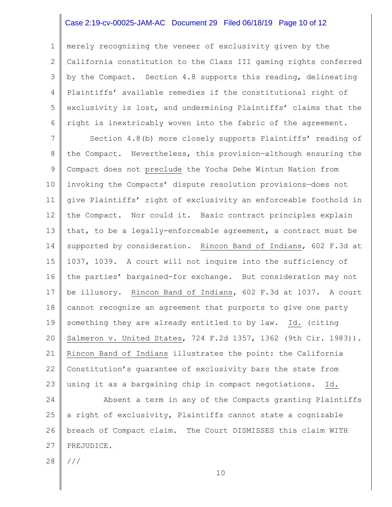# Case 2:19-cv-00025-JAM-AC Document 29 Filed 06/18/19 Page 10 of 12

1 2 3 4 5 6 merely recognizing the veneer of exclusivity given by the California constitution to the Class III gaming rights conferred by the Compact. Section 4.8 supports this reading, delineating Plaintiffs' available remedies if the constitutional right of exclusivity is lost, and undermining Plaintiffs' claims that the right is inextricably woven into the fabric of the agreement.

7 8 9 10 11 12 13 14 15 16 17 18 19 20 21 22 23 Section 4.8(b) more closely supports Plaintiffs' reading of the Compact. Nevertheless, this provision—although ensuring the Compact does not preclude the Yocha Dehe Wintun Nation from invoking the Compacts' dispute resolution provisions—does not give Plaintiffs' right of exclusivity an enforceable foothold in the Compact. Nor could it. Basic contract principles explain that, to be a legally-enforceable agreement, a contract must be supported by consideration. Rincon Band of Indians, 602 F.3d at 1037, 1039. A court will not inquire into the sufficiency of the parties' bargained-for exchange. But consideration may not be illusory. Rincon Band of Indians, 602 F.3d at 1037. A court cannot recognize an agreement that purports to give one party something they are already entitled to by law. Id. (citing Salmeron v. United States, 724 F.2d 1357, 1362 (9th Cir. 1983)). Rincon Band of Indians illustrates the point: the California Constitution's guarantee of exclusivity bars the state from using it as a bargaining chip in compact negotiations. Id.

24 25 26 27 Absent a term in any of the Compacts granting Plaintiffs a right of exclusivity, Plaintiffs cannot state a cognizable breach of Compact claim. The Court DISMISSES this claim WITH PREJUDICE.

28 ///

10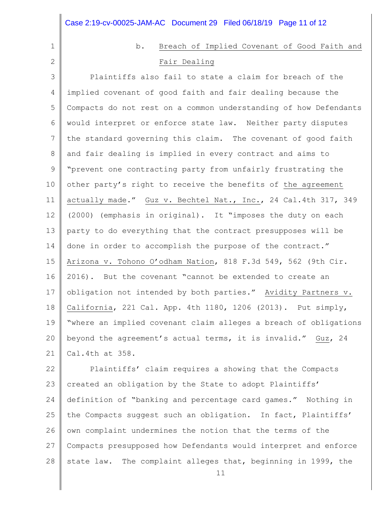|              | Case 2:19-cv-00025-JAM-AC Document 29 Filed 06/18/19 Page 11 of 12 |
|--------------|--------------------------------------------------------------------|
| $\mathbf{1}$ | b.<br>Breach of Implied Covenant of Good Faith and                 |
| 2            | Fair Dealing                                                       |
| 3            | Plaintiffs also fail to state a claim for breach of the            |
| 4            | implied covenant of good faith and fair dealing because the        |
| 5            | Compacts do not rest on a common understanding of how Defendants   |
| 6            | would interpret or enforce state law. Neither party disputes       |
| 7            | the standard governing this claim. The covenant of good faith      |
| 8            | and fair dealing is implied in every contract and aims to          |
| $\mathsf 9$  | "prevent one contracting party from unfairly frustrating the       |
| 10           | other party's right to receive the benefits of the agreement       |
| 11           | actually made." Guz v. Bechtel Nat., Inc., 24 Cal.4th 317, 349     |
| 12           | (2000) (emphasis in original). It "imposes the duty on each        |
| 13           | party to do everything that the contract presupposes will be       |
| 14           | done in order to accomplish the purpose of the contract."          |
| 15           | Arizona v. Tohono O'odham Nation, 818 F.3d 549, 562 (9th Cir.      |
| 16           | 2016). But the covenant "cannot be extended to create an           |
| 17           | obligation not intended by both parties." Avidity Partners v.      |
| 18           | California, 221 Cal. App. 4th 1180, 1206 (2013). Put simply,       |
| 19           | "where an implied covenant claim alleges a breach of obligations   |
| 20           | beyond the agreement's actual terms, it is invalid." Guz, 24       |
| 21           | Cal.4th at 358.                                                    |
| 22           | Plaintiffs' claim requires a showing that the Compacts             |
| 23           | created an obligation by the State to adopt Plaintiffs'            |
| 24           | definition of "banking and percentage card games." Nothing in      |
| 25           | the Compacts suggest such an obligation. In fact, Plaintiffs'      |
| 26           | own complaint undermines the notion that the terms of the          |
| 27           | Compacts presupposed how Defendants would interpret and enforce    |

28 state law. The complaint alleges that, beginning in 1999, the